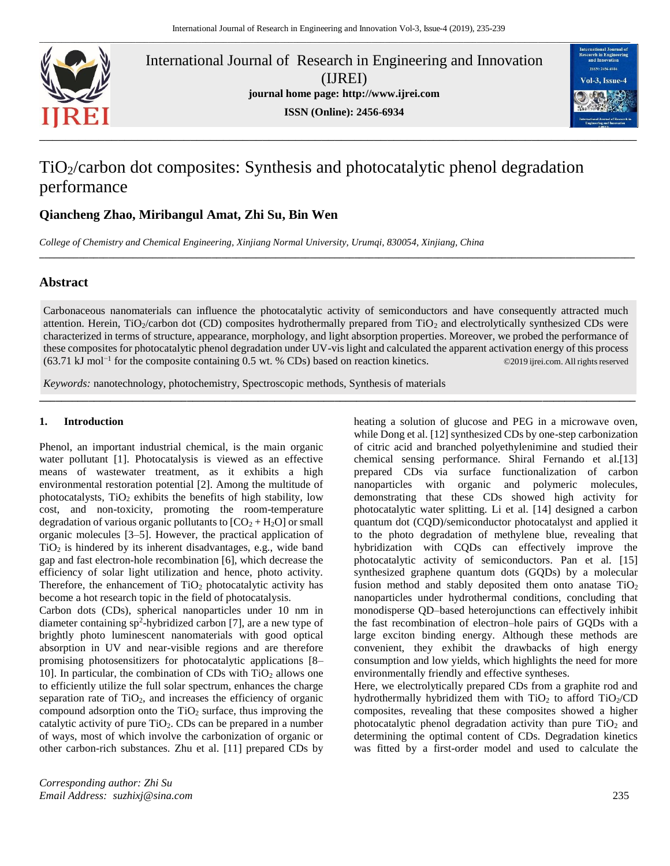

International Journal of Research in Engineering and Innovation (IJREI) **journal home page: [http://www.ijrei.com](http://www.ijrei.com/) ISSN (Online): 2456-6934**



# TiO2/carbon dot composites: Synthesis and photocatalytic phenol degradation performance

# **Qiancheng Zhao, Miribangul Amat, Zhi Su, Bin Wen**

*College of Chemistry and Chemical Engineering, Xinjiang Normal University, Urumqi, 830054, Xinjiang, China*

# **Abstract**

Carbonaceous nanomaterials can influence the photocatalytic activity of semiconductors and have consequently attracted much attention. Herein,  $TiO_2/carbon$  dot (CD) composites hydrothermally prepared from  $TiO_2$  and electrolytically synthesized CDs were characterized in terms of structure, appearance, morphology, and light absorption properties. Moreover, we probed the performance of these composites for photocatalytic phenol degradation under UV-vis light and calculated the apparent activation energy of this process (63.71 kJ mol−1 for the composite containing 0.5 wt. % CDs) based on reaction kinetics. ©2019 ijrei.com. All rights reserved

**\_\_\_\_\_\_\_\_\_\_\_\_\_\_\_\_\_\_\_\_\_\_\_\_\_\_\_\_\_\_\_\_\_\_\_\_\_\_\_\_\_\_\_\_\_\_\_\_\_\_\_\_\_\_\_\_\_\_\_\_\_\_\_\_\_\_\_\_\_\_\_\_\_\_\_\_\_\_\_\_\_\_\_\_\_\_\_\_\_\_\_\_\_\_\_\_\_\_\_\_\_\_\_\_\_\_\_\_\_**

**\_\_\_\_\_\_\_\_\_\_\_\_\_\_\_\_\_\_\_\_\_\_\_\_\_\_\_\_\_\_\_\_\_\_\_\_\_\_\_\_\_\_\_\_\_\_\_\_\_\_\_\_\_\_\_\_\_\_\_\_\_\_\_\_\_\_\_\_\_\_\_\_\_\_\_\_\_\_\_\_\_\_\_\_\_\_\_\_\_\_\_\_\_\_\_\_\_\_\_\_\_\_\_\_\_\_\_\_\_\_\_\_\_\_\_\_\_\_\_\_\_**

*Keywords:* nanotechnology, photochemistry, Spectroscopic methods, Synthesis of materials

## **1. Introduction**

Phenol, an important industrial chemical, is the main organic water pollutant [1]. Photocatalysis is viewed as an effective means of wastewater treatment, as it exhibits a high environmental restoration potential [2]. Among the multitude of photocatalysts,  $TiO<sub>2</sub>$  exhibits the benefits of high stability, low cost, and non-toxicity, promoting the room-temperature degradation of various organic pollutants to  $[CO<sub>2</sub> + H<sub>2</sub>O]$  or small organic molecules [3–5]. However, the practical application of  $TiO<sub>2</sub>$  is hindered by its inherent disadvantages, e.g., wide band gap and fast electron-hole recombination [6], which decrease the efficiency of solar light utilization and hence, photo activity. Therefore, the enhancement of  $TiO<sub>2</sub>$  photocatalytic activity has become a hot research topic in the field of photocatalysis.

Carbon dots (CDs), spherical nanoparticles under 10 nm in diameter containing sp<sup>2</sup> -hybridized carbon [7], are a new type of brightly photo luminescent nanomaterials with good optical absorption in UV and near-visible regions and are therefore promising photosensitizers for photocatalytic applications [8– 10]. In particular, the combination of CDs with  $TiO<sub>2</sub>$  allows one to efficiently utilize the full solar spectrum, enhances the charge separation rate of  $TiO<sub>2</sub>$ , and increases the efficiency of organic compound adsorption onto the  $TiO<sub>2</sub>$  surface, thus improving the catalytic activity of pure  $TiO<sub>2</sub>$ . CDs can be prepared in a number of ways, most of which involve the carbonization of organic or other carbon-rich substances. Zhu et al. [11] prepared CDs by

heating a solution of glucose and PEG in a microwave oven, while Dong et al. [12] synthesized CDs by one-step carbonization of citric acid and branched polyethylenimine and studied their vater pollutant [1]. Photocatalysis is viewed as an effective chemical sensing performance. Shiral Fernando et al.[13] prepared CDs via surface functionalization of carbon nanoparticles with organic and polymeric molecules, demonstrating that these CDs showed high activity for photocatalytic water splitting. Li et al. [14] designed a carbon quantum dot (CQD)/semiconductor photocatalyst and applied it to the photo degradation of methylene blue, revealing that hybridization with CQDs can effectively improve the photocatalytic activity of semiconductors. Pan et al. [15] synthesized graphene quantum dots (GQDs) by a molecular fusion method and stably deposited them onto anatase  $TiO<sub>2</sub>$ nanoparticles under hydrothermal conditions, concluding that monodisperse QD–based heterojunctions can effectively inhibit the fast recombination of electron–hole pairs of GQDs with a large exciton binding energy. Although these methods are convenient, they exhibit the drawbacks of high energy consumption and low yields, which highlights the need for more environmentally friendly and effective syntheses.

> Here, we electrolytically prepared CDs from a graphite rod and hydrothermally hybridized them with  $TiO<sub>2</sub>$  to afford  $TiO<sub>2</sub>/CD$ composites, revealing that these composites showed a higher photocatalytic phenol degradation activity than pure  $TiO<sub>2</sub>$  and determining the optimal content of CDs. Degradation kinetics was fitted by a first-order model and used to calculate the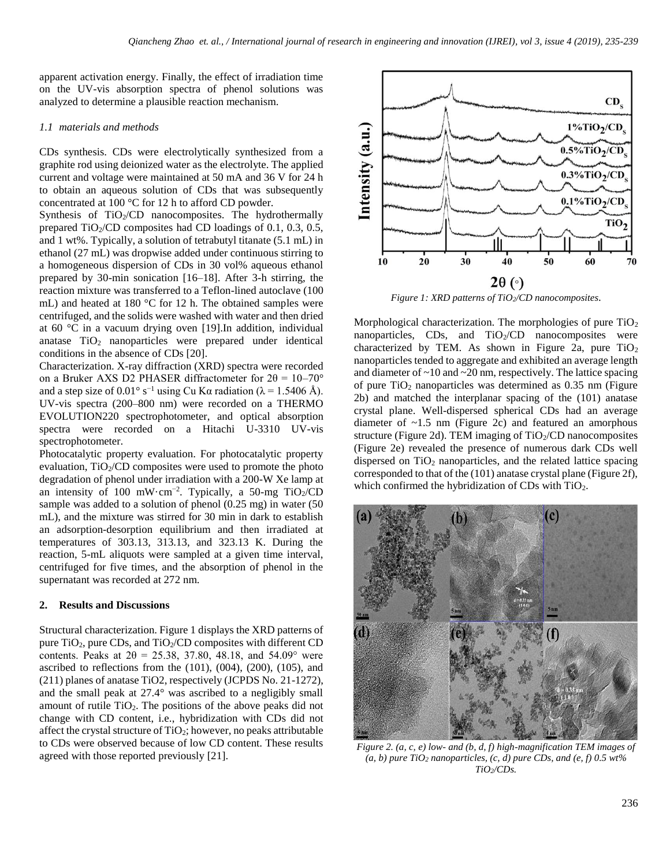apparent activation energy. Finally, the effect of irradiation time on the UV-vis absorption spectra of phenol solutions was analyzed to determine a plausible reaction mechanism.

## *1.1 materials and methods*

CDs synthesis. CDs were electrolytically synthesized from a graphite rod using deionized water as the electrolyte. The applied current and voltage were maintained at 50 mA and 36 V for 24 h to obtain an aqueous solution of CDs that was subsequently concentrated at 100 °C for 12 h to afford CD powder.

Synthesis of TiO<sub>2</sub>/CD nanocomposites. The hydrothermally prepared  $TiO<sub>2</sub>/CD$  composites had CD loadings of 0.1, 0.3, 0.5, and 1 wt%. Typically, a solution of tetrabutyl titanate (5.1 mL) in ethanol (27 mL) was dropwise added under continuous stirring to a homogeneous dispersion of CDs in 30 vol% aqueous ethanol prepared by 30-min sonication [16–18]. After 3-h stirring, the reaction mixture was transferred to a Teflon-lined autoclave (100 mL) and heated at 180 °C for 12 h. The obtained samples were centrifuged, and the solids were washed with water and then dried at 60 °C in a vacuum drying oven [19].In addition, individual anatase  $TiO<sub>2</sub>$  nanoparticles were prepared under identical conditions in the absence of CDs [20].

Characterization. X-ray diffraction (XRD) spectra were recorded on a Bruker AXS D2 PHASER diffractometer for  $2\theta = 10-70^{\circ}$ and a step size of 0.01° s<sup>-1</sup> using Cu K $\alpha$  radiation ( $\lambda$  = 1.5406 Å). UV-vis spectra (200–800 nm) were recorded on a THERMO EVOLUTION220 spectrophotometer, and optical absorption spectra were recorded on a Hitachi U-3310 UV-vis spectrophotometer.

Photocatalytic property evaluation. For photocatalytic property evaluation,  $TiO<sub>2</sub>/CD$  composites were used to promote the photo degradation of phenol under irradiation with a 200-W Xe lamp at an intensity of 100 mW·cm<sup>-2</sup>. Typically, a 50-mg TiO2/CD sample was added to a solution of phenol (0.25 mg) in water (50 mL), and the mixture was stirred for 30 min in dark to establish an adsorption-desorption equilibrium and then irradiated at temperatures of 303.13, 313.13, and 323.13 K. During the reaction, 5-mL aliquots were sampled at a given time interval, centrifuged for five times, and the absorption of phenol in the supernatant was recorded at 272 nm.

#### **2. Results and Discussions**

Structural characterization. Figure 1 displays the XRD patterns of pure  $TiO<sub>2</sub>$ , pure CDs, and  $TiO<sub>2</sub>/CD$  composites with different CD contents. Peaks at  $2\theta = 25.38, 37.80, 48.18,$  and  $54.09^{\circ}$  were ascribed to reflections from the (101), (004), (200), (105), and (211) planes of anatase TiO2, respectively (JCPDS No. 21-1272), and the small peak at 27.4° was ascribed to a negligibly small amount of rutile  $TiO<sub>2</sub>$ . The positions of the above peaks did not change with CD content, i.e., hybridization with CDs did not affect the crystal structure of  $TiO<sub>2</sub>$ ; however, no peaks attributable to CDs were observed because of low CD content. These results agreed with those reported previously [21].



*Figure 1: XRD patterns of TiO2/CD nanocomposites*.

Morphological characterization. The morphologies of pure  $TiO<sub>2</sub>$ nanoparticles,  $CDs$ , and  $TiO<sub>2</sub>/CD$  nanocomposites were characterized by TEM. As shown in Figure 2a, pure  $TiO<sub>2</sub>$ nanoparticles tended to aggregate and exhibited an average length and diameter of  $\sim$ 10 and  $\sim$ 20 nm, respectively. The lattice spacing of pure  $TiO<sub>2</sub>$  nanoparticles was determined as 0.35 nm (Figure 2b) and matched the interplanar spacing of the (101) anatase crystal plane. Well-dispersed spherical CDs had an average diameter of  $\sim$ 1.5 nm (Figure 2c) and featured an amorphous structure (Figure 2d). TEM imaging of  $TiO<sub>2</sub>/CD$  nanocomposites (Figure 2e) revealed the presence of numerous dark CDs well dispersed on  $TiO<sub>2</sub>$  nanoparticles, and the related lattice spacing corresponded to that of the (101) anatase crystal plane (Figure 2f), which confirmed the hybridization of CDs with TiO<sub>2</sub>.



*Figure 2. (a, c, e) low- and (b, d, f) high-magnification TEM images of*   $(a, b)$  pure TiO<sub>2</sub> nanoparticles,  $(c, d)$  pure CDs, and  $(e, f)$  0.5 wt% *TiO2/CDs.*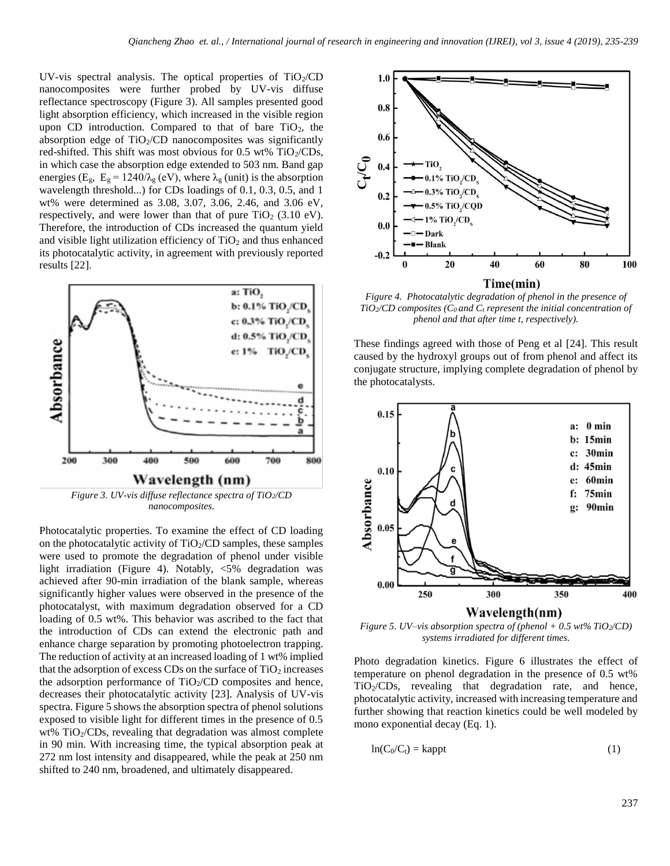UV-vis spectral analysis. The optical properties of  $TiO<sub>2</sub>/CD$ nanocomposites were further probed by UV-vis diffuse reflectance spectroscopy (Figure 3). All samples presented good light absorption efficiency, which increased in the visible region upon CD introduction. Compared to that of bare  $TiO<sub>2</sub>$ , the absorption edge of  $TiO<sub>2</sub>/CD$  nanocomposites was significantly red-shifted. This shift was most obvious for  $0.5 \text{ wt\%}$  TiO<sub>2</sub>/CDs, in which case the absorption edge extended to 503 nm. Band gap energies (E<sub>g</sub>, E<sub>g</sub> = 1240/ $\lambda$ <sub>g</sub> (eV), where  $\lambda$ <sub>g</sub> (unit) is the absorption wavelength threshold...) for CDs loadings of 0.1, 0.3, 0.5, and 1 wt% were determined as 3.08, 3.07, 3.06, 2.46, and 3.06 eV, respectively, and were lower than that of pure  $TiO<sub>2</sub>$  (3.10 eV). Therefore, the introduction of CDs increased the quantum yield and visible light utilization efficiency of  $TiO<sub>2</sub>$  and thus enhanced its photocatalytic activity, in agreement with previously reported results [22].



Photocatalytic properties. To examine the effect of CD loading on the photocatalytic activity of  $TiO<sub>2</sub>/CD$  samples, these samples were used to promote the degradation of phenol under visible light irradiation (Figure 4). Notably, <5% degradation was achieved after 90-min irradiation of the blank sample, whereas significantly higher values were observed in the presence of the photocatalyst, with maximum degradation observed for a CD loading of 0.5 wt%. This behavior was ascribed to the fact that the introduction of CDs can extend the electronic path and enhance charge separation by promoting photoelectron trapping. The reduction of activity at an increased loading of 1 wt% implied that the adsorption of excess CDs on the surface of  $TiO<sub>2</sub>$  increases the adsorption performance of  $TiO<sub>2</sub>/CD$  composites and hence, decreases their photocatalytic activity [23]. Analysis of UV-vis spectra. Figure 5 shows the absorption spectra of phenol solutions exposed to visible light for different times in the presence of 0.5 wt% TiO<sub>2</sub>/CDs, revealing that degradation was almost complete in 90 min. With increasing time, the typical absorption peak at 272 nm lost intensity and disappeared, while the peak at 250 nm shifted to 240 nm, broadened, and ultimately disappeared.



*Figure 4. Photocatalytic degradation of phenol in the presence of TiO2/CD composites (C0 and C<sup>t</sup> represent the initial concentration of phenol and that after time t, respectively).*

These findings agreed with those of Peng et al [24]. This result caused by the hydroxyl groups out of from phenol and affect its conjugate structure, implying complete degradation of phenol by the photocatalysts.



*Figure 5. UV–vis absorption spectra of (phenol + 0.5 wt% TiO<sub>2</sub>/CD) systems irradiated for different times.*

Photo degradation kinetics. Figure 6 illustrates the effect of temperature on phenol degradation in the presence of 0.5 wt% TiO2/CDs, revealing that degradation rate, and hence, photocatalytic activity, increased with increasing temperature and further showing that reaction kinetics could be well modeled by mono exponential decay (Eq. 1).

$$
ln(C_0/C_t) = kappt
$$
 (1)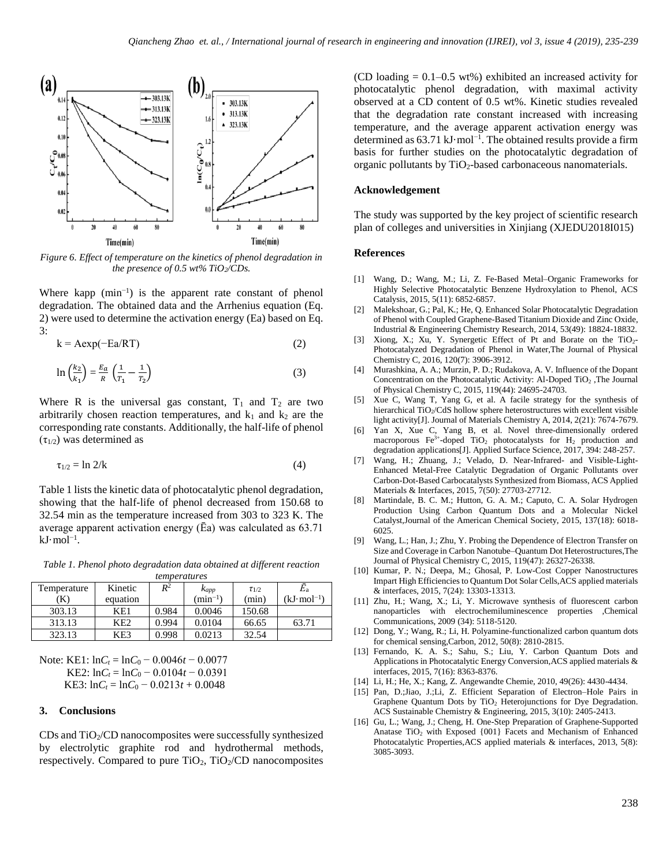

Figure 6. Effect of temperature on the kinetics of phenol degradation in *the presence of 0.5 wt% TiO2/CDs.*

Where kapp  $(min^{-1})$  is the apparent rate constant of phenol degradation. The obtained data and the Arrhenius equation (Eq. 2) were used to determine the activation energy (Ea) based on Eq. 3:

$$
k = A \exp(-Ea/RT) \tag{2}
$$

$$
\ln\left(\frac{k_2}{k_1}\right) = \frac{E_a}{R}\left(\frac{1}{T_1} - \frac{1}{T_2}\right)
$$
 (3)

Where R is the universal gas constant,  $T_1$  and  $T_2$  are two arbitrarily chosen reaction temperatures, and  $k_1$  and  $k_2$  are the corresponding rate constants. Additionally, the half-life of phenol  $(\tau_{1/2})$  was determined as

$$
\tau_{1/2} = \ln 2/k \tag{4}
$$

Table 1 lists the kinetic data of photocatalytic phenol degradation, showing that the half-life of phenol decreased from 150.68 to 32.54 min as the temperature increased from 303 to 323 K. The average apparent activation energy (Ēa) was calculated as 63.71 kJ·mol−1 .

*Table 1. Phenol photo degradation data obtained at different reaction temperatures*

| Temperature | Kinetic          | $R^2$ | Kapp         | $\tau_{1/2}$ | Ea                    |
|-------------|------------------|-------|--------------|--------------|-----------------------|
| 'K)         | equation         |       | $(min^{-1})$ | (min)        | $(kJ \cdot mol^{-1})$ |
| 303.13      | KE1              | 0.984 | 0.0046       | 150.68       |                       |
| 313.13      | K <sub>E</sub> 2 | 0.994 | 0.0104       | 66.65        | 63.71                 |
| 323.13      | KE3              | 0.998 | 0.0213       | 32.54        |                       |

Note: KE1:  $lnC_t = lnC_0 - 0.0046t - 0.0077$ KE2:  $lnC_t = lnC_0 - 0.0104t - 0.0391$ KE3:  $lnC_t = lnC_0 - 0.0213t + 0.0048$ 

### **3. Conclusions**

CDs and  $TiO<sub>2</sub>/CD$  nanocomposites were successfully synthesized by electrolytic graphite rod and hydrothermal methods, respectively. Compared to pure  $TiO<sub>2</sub>$ ,  $TiO<sub>2</sub>/CD$  nanocomposites (CD loading  $= 0.1 - 0.5$  wt%) exhibited an increased activity for photocatalytic phenol degradation, with maximal activity observed at a CD content of 0.5 wt%. Kinetic studies revealed that the degradation rate constant increased with increasing temperature, and the average apparent activation energy was determined as 63.71 kJ·mol−1 . The obtained results provide a firm basis for further studies on the photocatalytic degradation of organic pollutants by TiO2-based carbonaceous nanomaterials.

#### **Acknowledgement**

The study was supported by the key project of scientific research plan of colleges and universities in Xinjiang (XJEDU2018I015)

#### **References**

- [1] Wang, D.; Wang, M.; Li, Z. Fe-Based Metal–Organic Frameworks for Highly Selective Photocatalytic Benzene Hydroxylation to Phenol, ACS Catalysis, 2015, 5(11): 6852-6857.
- [2] Malekshoar, G.; Pal, K.; He, O. Enhanced Solar Photocatalytic Degradation of Phenol with Coupled Graphene-Based Titanium Dioxide and Zinc Oxide, Industrial & Engineering Chemistry Research, 2014, 53(49): 18824-18832.
- [3] Xiong, X.; Xu, Y. Synergetic Effect of Pt and Borate on the TiO<sub>2</sub>-Photocatalyzed Degradation of Phenol in Water,The Journal of Physical Chemistry C, 2016, 120(7): 3906-3912.
- [4] Murashkina, A. A.; Murzin, P. D.; Rudakova, A. V. Influence of the Dopant Concentration on the Photocatalytic Activity: Al-Doped TiO<sub>2</sub>, The Journal of Physical Chemistry C, 2015, 119(44): 24695-24703.
- [5] Xue C, Wang T, Yang G, et al. A facile strategy for the synthesis of hierarchical TiO<sub>2</sub>/CdS hollow sphere heterostructures with excellent visible light activity[J]. Journal of Materials Chemistry A, 2014, 2(21): 7674-7679.
- [6] Yan X, Xue C, Yang B, et al. Novel three-dimensionally ordered macroporous Fe<sup>3+</sup>-doped TiO<sub>2</sub> photocatalysts for H<sub>2</sub> production and degradation applications[J]. Applied Surface Science, 2017, 394: 248-257.
- [7] Wang, H.; Zhuang, J.; Velado, D. Near-Infrared- and Visible-Light-Enhanced Metal-Free Catalytic Degradation of Organic Pollutants over Carbon-Dot-Based Carbocatalysts Synthesized from Biomass, ACS Applied Materials & Interfaces, 2015, 7(50): 27703-27712.
- [8] Martindale, B. C. M.; Hutton, G. A. M.; Caputo, C. A. Solar Hydrogen Production Using Carbon Quantum Dots and a Molecular Nickel Catalyst,Journal of the American Chemical Society, 2015, 137(18): 6018- 6025.
- [9] Wang, L.; Han, J.; Zhu, Y. Probing the Dependence of Electron Transfer on Size and Coverage in Carbon Nanotube–Quantum Dot Heterostructures,The Journal of Physical Chemistry C, 2015, 119(47): 26327-26338.
- [10] Kumar, P. N.; Deepa, M.; Ghosal, P. Low-Cost Copper Nanostructures Impart High Efficiencies to Quantum Dot Solar Cells,ACS applied materials & interfaces, 2015, 7(24): 13303-13313.
- [11] Zhu, H.; Wang, X.; Li, Y. Microwave synthesis of fluorescent carbon nanoparticles with electrochemiluminescence properties ,Chemical Communications, 2009 (34): 5118-5120.
- [12] Dong, Y.; Wang, R.; Li, H. Polyamine-functionalized carbon quantum dots for chemical sensing,Carbon, 2012, 50(8): 2810-2815.
- [13] Fernando, K. A. S.; Sahu, S.; Liu, Y. Carbon Quantum Dots and Applications in Photocatalytic Energy Conversion,ACS applied materials & interfaces, 2015, 7(16): 8363-8376.
- [14] Li, H.; He, X.; Kang, Z. Angewandte Chemie, 2010, 49(26): 4430-4434.
- [15] Pan, D.;Jiao, J.;Li, Z. Efficient Separation of Electron–Hole Pairs in Graphene Quantum Dots by  $TiO<sub>2</sub>$  Heterojunctions for Dye Degradation. ACS Sustainable Chemistry & Engineering, 2015, 3(10): 2405-2413.
- [16] Gu, L.; Wang, J.; Cheng, H. One-Step Preparation of Graphene-Supported Anatase TiO<sub>2</sub> with Exposed  $\{001\}$  Facets and Mechanism of Enhanced Photocatalytic Properties,ACS applied materials & interfaces, 2013, 5(8): 3085-3093.